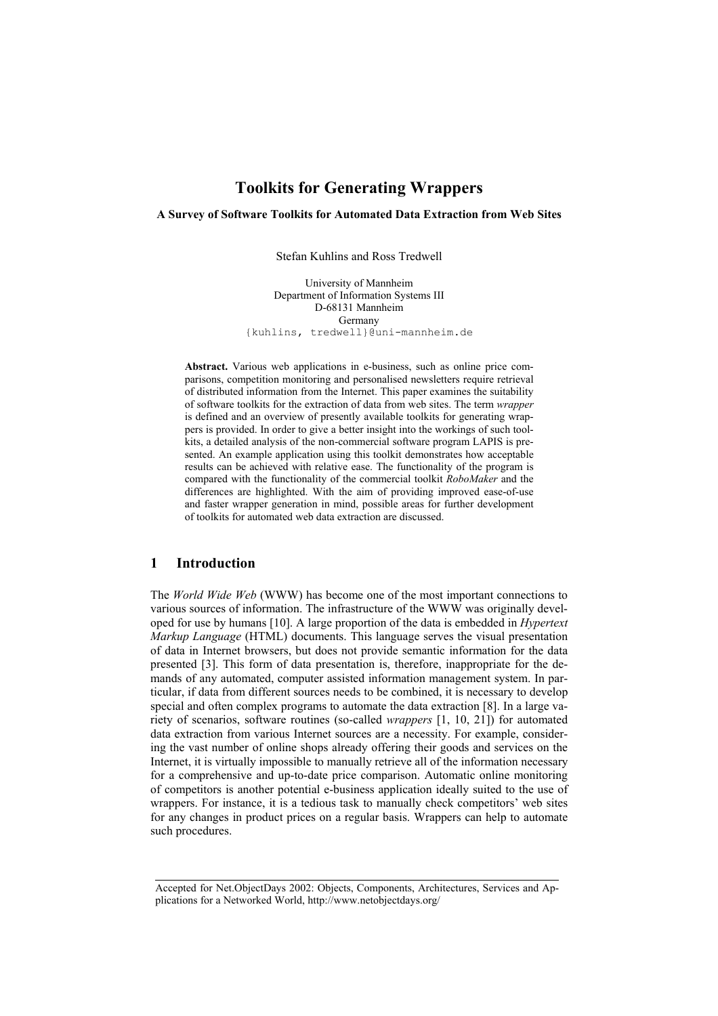# **Toolkits for Generating Wrappers**

**A Survey of Software Toolkits for Automated Data Extraction from Web Sites** 

Stefan Kuhlins and Ross Tredwell

University of Mannheim Department of Information Systems III D-68131 Mannheim Germany {kuhlins, [tredwell}@uni-mannheim.de](mailto:kuhlins@uni-mannheim.de)

Abstract. Various web applications in e-business, such as online price comparisons, competition monitoring and personalised newsletters require retrieval of distributed information from the Internet. This paper examines the suitability of software toolkits for the extraction of data from web sites. The term *wrapper* is defined and an overview of presently available toolkits for generating wrappers is provided. In order to give a better insight into the workings of such toolkits, a detailed analysis of the non-commercial software program LAPIS is presented. An example application using this toolkit demonstrates how acceptable results can be achieved with relative ease. The functionality of the program is compared with the functionality of the commercial toolkit *RoboMaker* and the differences are highlighted. With the aim of providing improved ease-of-use and faster wrapper generation in mind, possible areas for further development of toolkits for automated web data extraction are discussed.

# **1 Introduction**

The *World Wide Web* (WWW) has become one of the most important connections to various sources of information. The infrastructure of the WWW was originally developed for use by humans [[10\]](#page-14-0). A large proportion of the data is embedded in *Hypertext Markup Language* (HTML) documents. This language serves the visual presentation of data in Internet browsers, but does not provide semantic information for the data presented [\[3\]](#page-14-1). This form of data presentation is, therefore, inappropriate for the demands of any automated, computer assisted information management system. In particular, if data from different sources needs to be combined, it is necessary to develop special and often complex programs to automate the data extraction [\[8\]](#page-14-2). In a large variety of scenarios, software routines (so-called *wrappers* [[1,](#page-13-0) [10,](#page-14-0) [21\]](#page-14-3)) for automated data extraction from various Internet sources are a necessity. For example, considering the vast number of online shops already offering their goods and services on the Internet, it is virtually impossible to manually retrieve all of the information necessary for a comprehensive and up-to-date price comparison. Automatic online monitoring of competitors is another potential e-business application ideally suited to the use of wrappers. For instance, it is a tedious task to manually check competitors' web sites for any changes in product prices on a regular basis. Wrappers can help to automate such procedures.

Accepted for Net.ObjectDays 2002: Objects, Components, Architectures, Services and Applications for a Networked World, http://www[.netobjectdays.org/](http://www.netobjectdays.org/)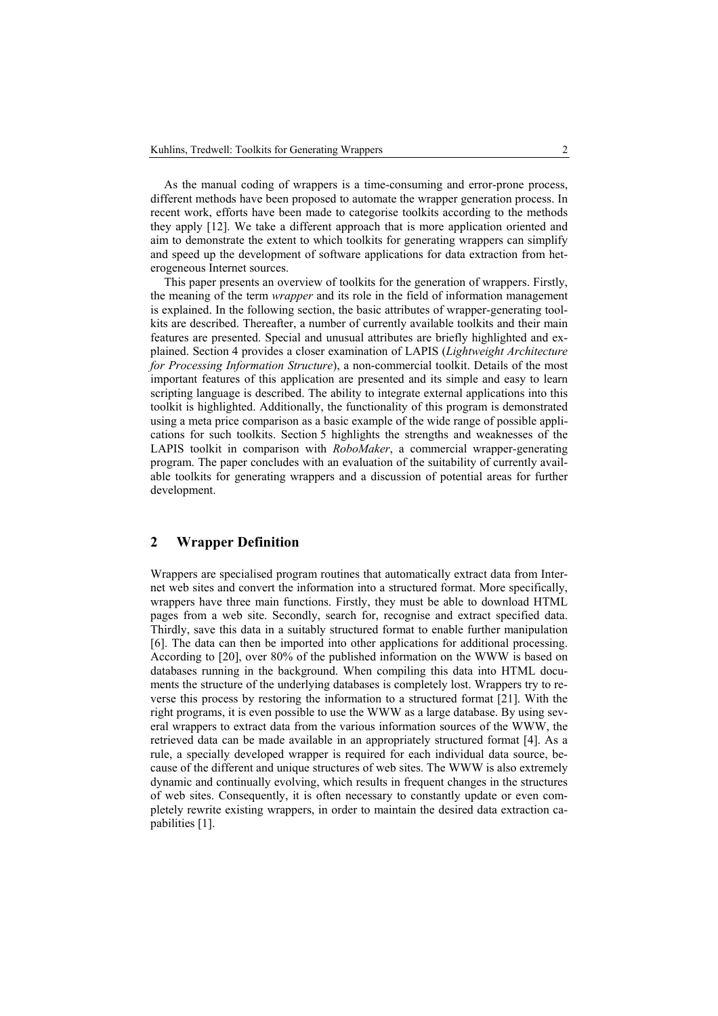As the manual coding of wrappers is a time-consuming and error-prone process, different methods have been proposed to automate the wrapper generation process. In recent work, efforts have been made to categorise toolkits according to the methods they apply [\[12\]](#page-14-4). We take a different approach that is more application oriented and aim to demonstrate the extent to which toolkits for generating wrappers can simplify and speed up the development of software applications for data extraction from heterogeneous Internet sources.

This paper presents an overview of toolkits for the generation of wrappers. Firstly, the meaning of the term *wrapper* and its role in the field of information management is explained. In the following section, the basic attributes of wrapper-generating toolkits are described. Thereafter, a number of currently available toolkits and their main features are presented. Special and unusual attributes are briefly highlighted and explained. Section [4](#page-6-0) provides a closer examination of LAPIS (*Lightweight Architecture for Processing Information Structure*), a non-commercial toolkit. Details of the most important features of this application are presented and its simple and easy to learn scripting language is described. The ability to integrate external applications into this toolkit is highlighted. Additionally, the functionality of this program is demonstrated using a meta price comparison as a basic example of the wide range of possible applications for such toolkits. Section [5](#page-11-0) highlights the strengths and weaknesses of the LAPIS toolkit in comparison with *RoboMaker*, a commercial wrapper-generating program. The paper concludes with an evaluation of the suitability of currently available toolkits for generating wrappers and a discussion of potential areas for further development.

# **2 Wrapper Definition**

Wrappers are specialised program routines that automatically extract data from Internet web sites and convert the information into a structured format. More specifically, wrappers have three main functions. Firstly, they must be able to download HTML pages from a web site. Secondly, search for, recognise and extract specified data. Thirdly, save this data in a suitably structured format to enable further manipulation [\[6\]](#page-14-5). The data can then be imported into other applications for additional processing. According to [\[20\]](#page-14-6), over 80% of the published information on the WWW is based on databases running in the background. When compiling this data into HTML documents the structure of the underlying databases is completely lost. Wrappers try to reverse this process by restoring the information to a structured format [\[21\]](#page-14-3). With the right programs, it is even possible to use the WWW as a large database. By using several wrappers to extract data from the various information sources of the WWW, the retrieved data can be made available in an appropriately structured format [\[4\]](#page-14-7). As a rule, a specially developed wrapper is required for each individual data source, because of the different and unique structures of web sites. The WWW is also extremely dynamic and continually evolving, which results in frequent changes in the structures of web sites. Consequently, it is often necessary to constantly update or even completely rewrite existing wrappers, in order to maintain the desired data extraction capabilities [[1\]](#page-13-0).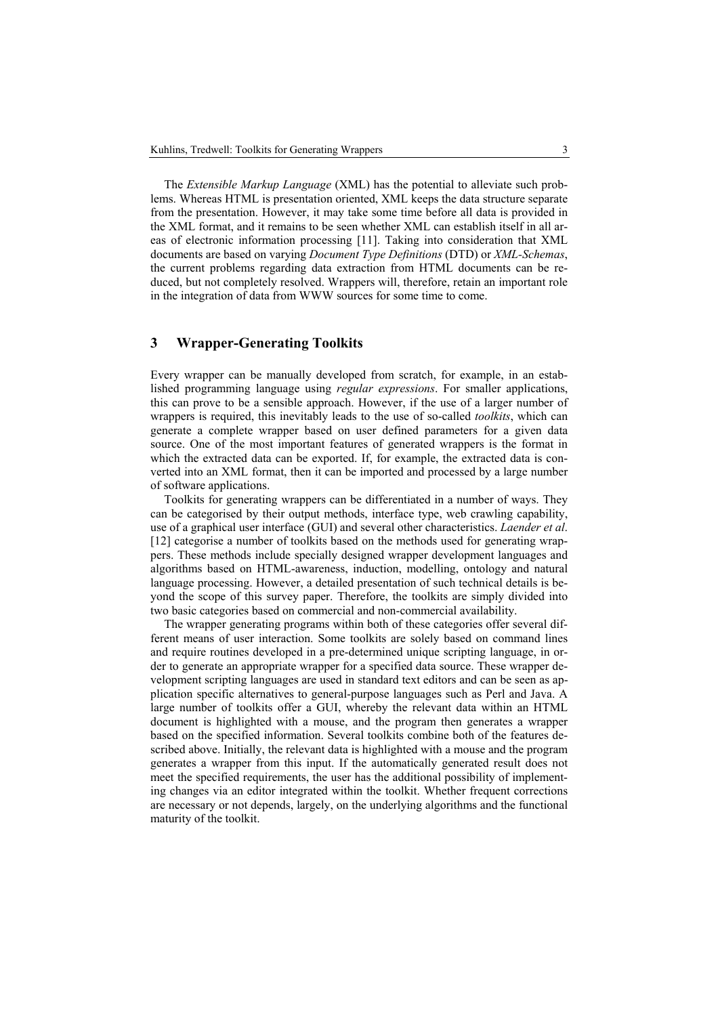The *Extensible Markup Language* (XML) has the potential to alleviate such problems. Whereas HTML is presentation oriented, XML keeps the data structure separate from the presentation. However, it may take some time before all data is provided in the XML format, and it remains to be seen whether XML can establish itself in all areas of electronic information processing [\[11\]](#page-14-8). Taking into consideration that XML documents are based on varying *Document Type Definitions* (DTD) or *XML-Schemas*, the current problems regarding data extraction from HTML documents can be reduced, but not completely resolved. Wrappers will, therefore, retain an important role in the integration of data from WWW sources for some time to come.

# **3 Wrapper-Generating Toolkits**

Every wrapper can be manually developed from scratch, for example, in an established programming language using *regular expressions*. For smaller applications, this can prove to be a sensible approach. However, if the use of a larger number of wrappers is required, this inevitably leads to the use of so-called *toolkits*, which can generate a complete wrapper based on user defined parameters for a given data source. One of the most important features of generated wrappers is the format in which the extracted data can be exported. If, for example, the extracted data is converted into an XML format, then it can be imported and processed by a large number of software applications.

Toolkits for generating wrappers can be differentiated in a number of ways. They can be categorised by their output methods, interface type, web crawling capability, use of a graphical user interface (GUI) and several other characteristics. *Laender et al*. [\[12\]](#page-14-4) categorise a number of toolkits based on the methods used for generating wrappers. These methods include specially designed wrapper development languages and algorithms based on HTML-awareness, induction, modelling, ontology and natural language processing. However, a detailed presentation of such technical details is beyond the scope of this survey paper. Therefore, the toolkits are simply divided into two basic categories based on commercial and non-commercial availability.

The wrapper generating programs within both of these categories offer several different means of user interaction. Some toolkits are solely based on command lines and require routines developed in a pre-determined unique scripting language, in order to generate an appropriate wrapper for a specified data source. These wrapper development scripting languages are used in standard text editors and can be seen as application specific alternatives to general-purpose languages such as Perl and Java. A large number of toolkits offer a GUI, whereby the relevant data within an HTML document is highlighted with a mouse, and the program then generates a wrapper based on the specified information. Several toolkits combine both of the features described above. Initially, the relevant data is highlighted with a mouse and the program generates a wrapper from this input. If the automatically generated result does not meet the specified requirements, the user has the additional possibility of implementing changes via an editor integrated within the toolkit. Whether frequent corrections are necessary or not depends, largely, on the underlying algorithms and the functional maturity of the toolkit.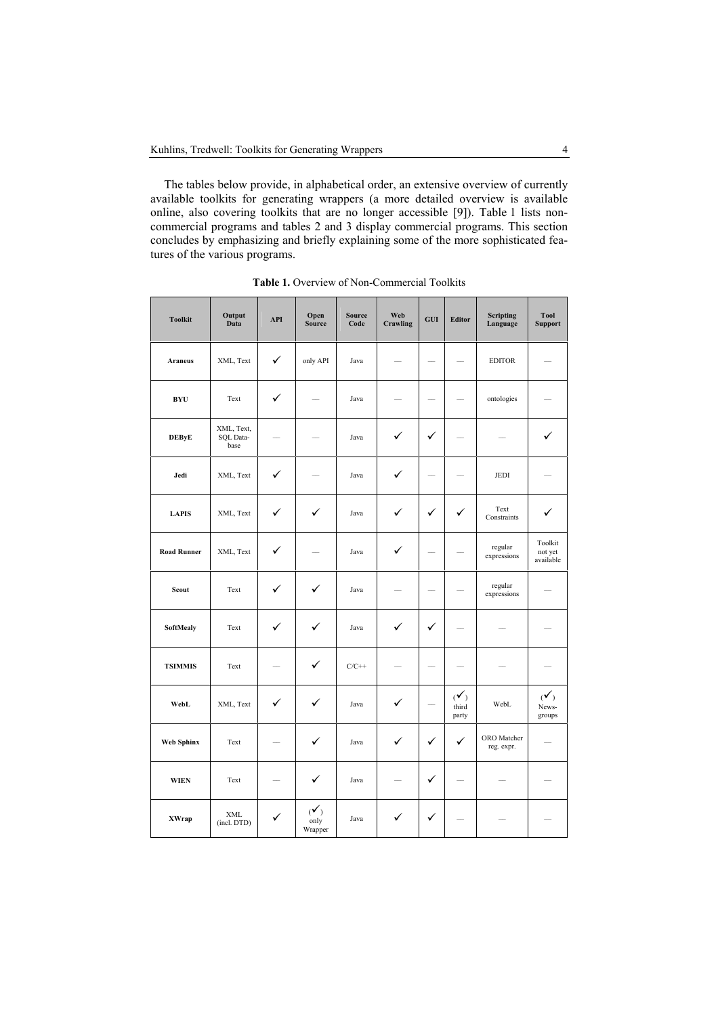The tables below provide, in alphabetical order, an extensive overview of currently available toolkits for generating wrappers (a more detailed overview is available online, also covering toolkits that are no longer accessible [[9\]](#page-14-9)). Table [1](#page-3-0) lists noncommercial programs and tables [2](#page-4-0) and [3](#page-5-0) display commercial programs. This section concludes by emphasizing and briefly explaining some of the more sophisticated features of the various programs.

| <b>Toolkit</b>     | Output<br>Data                  | API | Open<br><b>Source</b>                          | <b>Source</b><br>Code | Web<br>Crawling | GUI          | <b>Editor</b>                   | Scripting<br>Language     | <b>Tool</b><br><b>Support</b>     |
|--------------------|---------------------------------|-----|------------------------------------------------|-----------------------|-----------------|--------------|---------------------------------|---------------------------|-----------------------------------|
| <b>Araneus</b>     | XML, Text                       | ✓   | only API                                       | Java                  |                 |              |                                 | <b>EDITOR</b>             |                                   |
| <b>BYU</b>         | Text                            | ✓   |                                                | Java                  |                 |              |                                 | ontologies                |                                   |
| <b>DEByE</b>       | XML, Text,<br>SQL Data-<br>base |     |                                                | Java                  | ✓               | ✓            |                                 |                           | ✓                                 |
| Jedi               | XML, Text                       | ✓   |                                                | Java                  | ✓               |              |                                 | <b>JEDI</b>               |                                   |
| <b>LAPIS</b>       | XML, Text                       | ✓   | ✓                                              | Java                  | ✓               | ✓            | ✓                               | Text<br>Constraints       | ✓                                 |
| <b>Road Runner</b> | XML, Text                       | ✓   |                                                | Java                  | ✓               |              |                                 | regular<br>expressions    | Toolkit<br>not yet<br>available   |
| Scout              | Text                            | ✓   | ✓                                              | Java                  |                 |              |                                 | regular<br>expressions    |                                   |
| SoftMealy          | Text                            | ✓   | ✓                                              | Java                  | ✓               | ✓            |                                 |                           |                                   |
| <b>TSIMMIS</b>     | Text                            |     | ✓                                              | $C/C++$               |                 |              |                                 |                           |                                   |
| WebL               | XML, Text                       | ✓   | ✓                                              | Java                  | ✓               |              | $\mathcal{N}$<br>third<br>party | WebL                      | $(\checkmark)$<br>News-<br>groups |
| Web Sphinx         | Text                            |     | ✓                                              | Java                  | ✓               | ✓            | ✓                               | ORO Matcher<br>reg. expr. |                                   |
| WIEN               | Text                            |     | ✓                                              | Java                  |                 | $\checkmark$ |                                 |                           |                                   |
| <b>XWrap</b>       | <b>XML</b><br>(incl. DTD)       | ✓   | $\mathcal{N}_{\mathcal{N}}$<br>only<br>Wrapper | Java                  | ✓               | ✓            |                                 |                           |                                   |

<span id="page-3-0"></span>**Table 1.** Overview of Non-Commercial Toolkits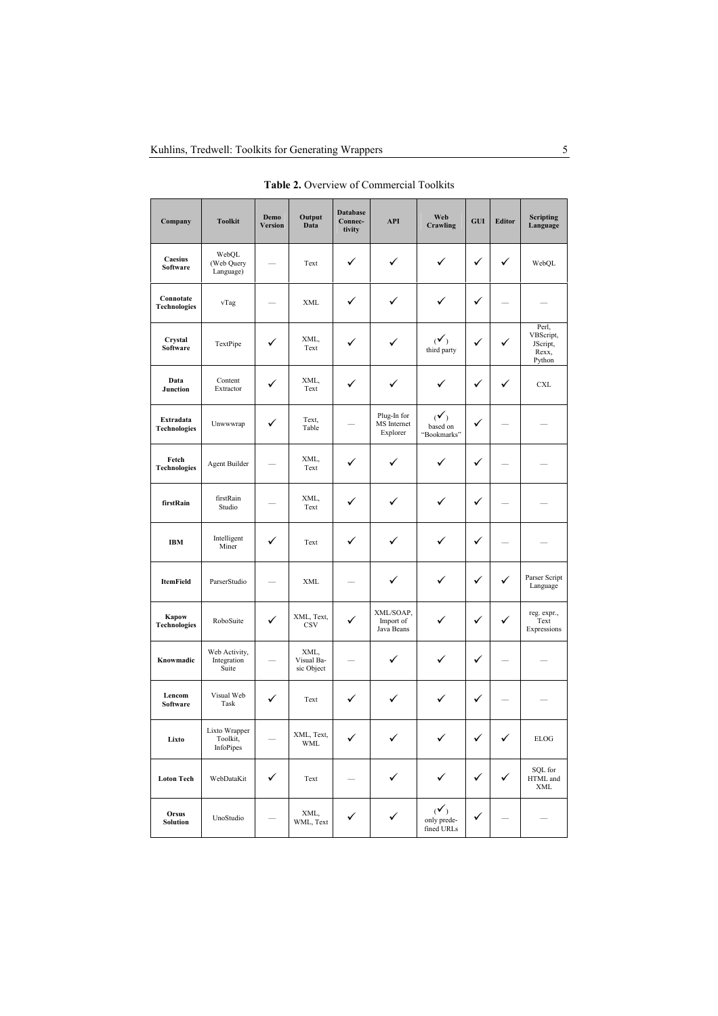| Company                          | <b>Toolkit</b>                         | Demo<br><b>Version</b> | Output<br>Data                   | <b>Database</b><br>Connec-<br>tivity | <b>API</b>                             | Web<br>Crawling                             | <b>GUI</b>   | <b>Editor</b>            | <b>Scripting</b><br>Language                      |
|----------------------------------|----------------------------------------|------------------------|----------------------------------|--------------------------------------|----------------------------------------|---------------------------------------------|--------------|--------------------------|---------------------------------------------------|
| Caesius<br>Software              | WebQL<br>(Web Query<br>Language)       |                        | Text                             | ✓                                    | ✓                                      | ✓                                           | ✓            | ✓                        | WebQL                                             |
| Connotate<br><b>Technologies</b> | vTag                                   |                        | XML                              | ✓                                    | ✓                                      | ✓                                           | ✓            |                          |                                                   |
| Crystal<br>Software              | TextPipe                               | ✓                      | XML,<br>Text                     | ✓                                    | ✓                                      | $(\checkmark)$<br>third party               | ✓            | ✓                        | Perl,<br>VBScript,<br>JScript,<br>Rexx,<br>Python |
| Data<br>Junction                 | Content<br>Extractor                   | ✓                      | XML,<br>Text                     | ✓                                    | ✓                                      | ✓                                           | ✓            | ✓                        | CXL                                               |
| Extradata<br><b>Technologies</b> | Unwwwrap                               | ✓                      | Text,<br>Table                   |                                      | Plug-In for<br>MS Internet<br>Explorer | $(\checkmark)$<br>based on<br>"Bookmarks"   | ✓            |                          |                                                   |
| Fetch<br><b>Technologies</b>     | Agent Builder                          |                        | XML,<br>Text                     |                                      | ✓                                      | ✓                                           | ✓            |                          |                                                   |
| firstRain                        | firstRain<br>Studio                    |                        | XML,<br>Text                     | ✓                                    | ✓                                      | ✓                                           | ✓            |                          |                                                   |
| <b>IBM</b>                       | Intelligent<br>Miner                   | ✓                      | Text                             | ✓                                    | ✓                                      | ✓                                           | ✓            |                          |                                                   |
| <b>ItemField</b>                 | ParserStudio                           |                        | XML                              |                                      | ✓                                      |                                             | ✓            | ✓                        | Parser Script<br>Language                         |
| Kapow<br><b>Technologies</b>     | RoboSuite                              | ✓                      | XML, Text,<br>CSV                | ✓                                    | XML/SOAP,<br>Import of<br>Java Beans   | ✓                                           | ✓            | ✓                        | reg. expr.,<br>Text<br>Expressions                |
| Knowmadic                        | Web Activity,<br>Integration<br>Suite  |                        | XML,<br>Visual Ba-<br>sic Object |                                      | ✓                                      | ✓                                           | ✓            | $\overline{\phantom{a}}$ |                                                   |
| Lencom<br>Software               | Visual Web<br>Task                     | ✓                      | Text                             | ✓                                    | ✓                                      | ✓                                           | $\checkmark$ |                          |                                                   |
| Lixto                            | Lixto Wrapper<br>Toolkit,<br>InfoPipes |                        | XML, Text,<br>WML                | ✓                                    | ✓                                      | ✓                                           | ✓            | ✓                        | ELOG                                              |
| <b>Loton Tech</b>                | WebDataKit                             | ✓                      | Text                             |                                      | ✓                                      | ✓                                           | ✓            | $\checkmark$             | SQL for<br>HTML and<br>XML                        |
| Orsus<br>Solution                | UnoStudio                              |                        | XML,<br>WML, Text                | ✓                                    | ✓                                      | $(\checkmark)$<br>only prede-<br>fined URLs | ✓            |                          |                                                   |

<span id="page-4-0"></span>**Table 2.** Overview of Commercial Toolkits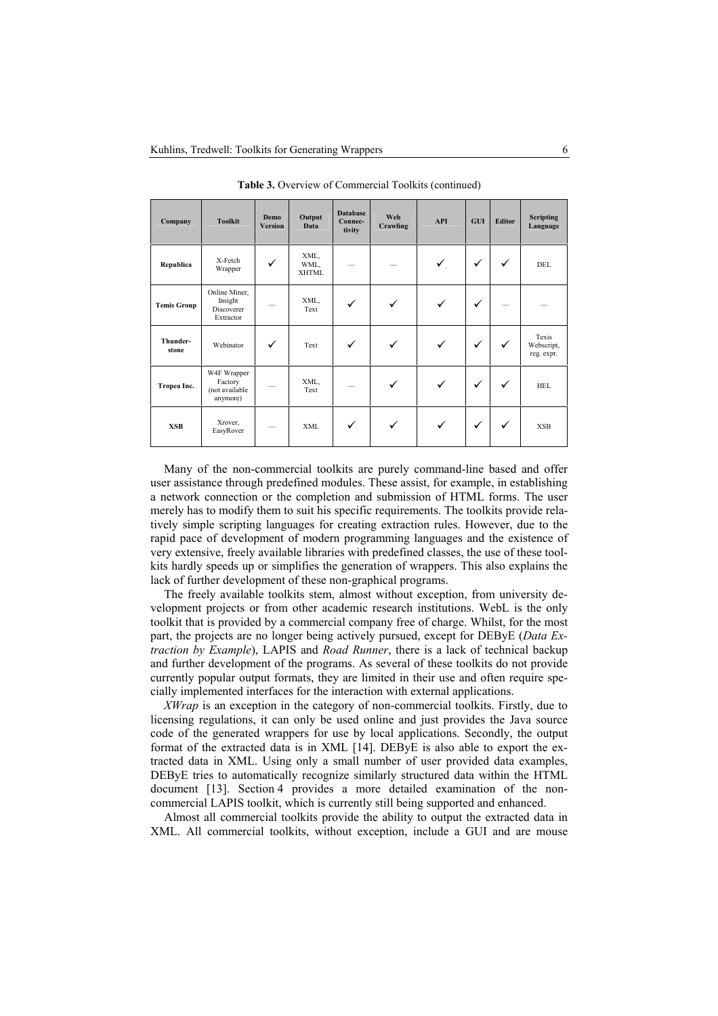| Company            | <b>Toolkit</b>                                       | Demo<br><b>Version</b> | Output<br><b>Data</b>        | <b>Database</b><br>Connec-<br>tivity | Web<br>Crawling | API | <b>GUI</b>   | <b>Editor</b> | <b>Scripting</b><br>Language      |
|--------------------|------------------------------------------------------|------------------------|------------------------------|--------------------------------------|-----------------|-----|--------------|---------------|-----------------------------------|
| Republica          | X-Fetch<br>Wrapper                                   | ✓                      | XML,<br>WML,<br><b>XHTML</b> |                                      |                 | ✓   | ✓            | ✓             | DEL.                              |
| <b>Temis Group</b> | Online Miner,<br>Insight<br>Discoverer<br>Extractor  |                        | XML,<br>Text                 | ✓                                    | ✓               |     | ✓            |               |                                   |
| Thunder-<br>stone  | Webinator                                            | ✓                      | Text                         | ✓                                    | ✓               |     | ✓            | $\checkmark$  | Texis<br>Webscript,<br>reg. expr. |
| Tropea Inc.        | W4F Wrapper<br>Factory<br>(not available<br>anymore) |                        | XML,<br>Text                 |                                      | ✓               |     | $\checkmark$ | ✓             | <b>HEL</b>                        |
| <b>XSB</b>         | Xrover,<br>EasyRover                                 |                        | XML                          | $\checkmark$                         | ✓               |     | ✓            | ✓             | <b>XSB</b>                        |

<span id="page-5-0"></span>**Table 3.** Overview of Commercial Toolkits (continued)

Many of the non-commercial toolkits are purely command-line based and offer user assistance through predefined modules. These assist, for example, in establishing a network connection or the completion and submission of HTML forms. The user merely has to modify them to suit his specific requirements. The toolkits provide relatively simple scripting languages for creating extraction rules. However, due to the rapid pace of development of modern programming languages and the existence of very extensive, freely available libraries with predefined classes, the use of these toolkits hardly speeds up or simplifies the generation of wrappers. This also explains the lack of further development of these non-graphical programs.

The freely available toolkits stem, almost without exception, from university development projects or from other academic research institutions. WebL is the only toolkit that is provided by a commercial company free of charge. Whilst, for the most part, the projects are no longer being actively pursued, except for DEByE (*Data Extraction by Example*), LAPIS and *Road Runner*, there is a lack of technical backup and further development of the programs. As several of these toolkits do not provide currently popular output formats, they are limited in their use and often require specially implemented interfaces for the interaction with external applications.

*XWrap* is an exception in the category of non-commercial toolkits. Firstly, due to licensing regulations, it can only be used online and just provides the Java source code of the generated wrappers for use by local applications. Secondly, the output format of the extracted data is in XML [\[14\]](#page-14-10). DEByE is also able to export the extracted data in XML. Using only a small number of user provided data examples, DEByE tries to automatically recognize similarly structured data within the HTML document [\[13\]](#page-14-11). Section [4](#page-6-0) provides a more detailed examination of the noncommercial LAPIS toolkit, which is currently still being supported and enhanced.

Almost all commercial toolkits provide the ability to output the extracted data in XML. All commercial toolkits, without exception, include a GUI and are mouse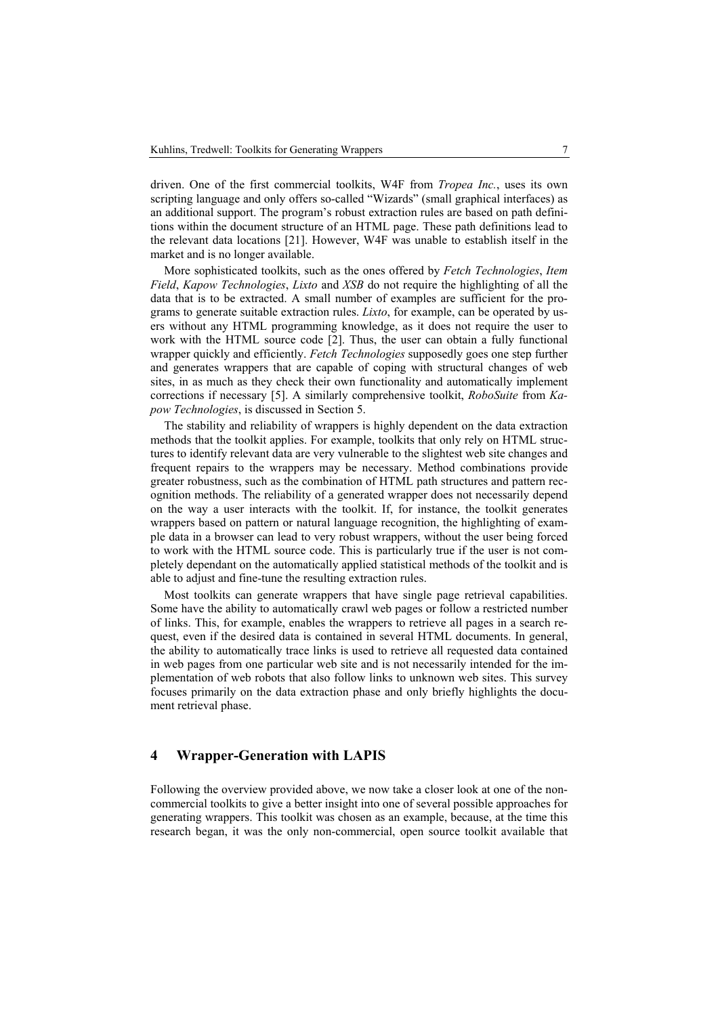driven. One of the first commercial toolkits, W4F from *Tropea Inc.*, uses its own scripting language and only offers so-called "Wizards" (small graphical interfaces) as an additional support. The program's robust extraction rules are based on path definitions within the document structure of an HTML page. These path definitions lead to the relevant data locations [[21\]](#page-14-3). However, W4F was unable to establish itself in the market and is no longer available.

More sophisticated toolkits, such as the ones offered by *Fetch Technologies*, *Item Field*, *Kapow Technologies*, *Lixto* and *XSB* do not require the highlighting of all the data that is to be extracted. A small number of examples are sufficient for the programs to generate suitable extraction rules. *Lixto*, for example, can be operated by users without any HTML programming knowledge, as it does not require the user to work with the HTML source code [\[2\]](#page-14-12). Thus, the user can obtain a fully functional wrapper quickly and efficiently. *Fetch Technologies* supposedly goes one step further and generates wrappers that are capable of coping with structural changes of web sites, in as much as they check their own functionality and automatically implement corrections if necessary [[5\]](#page-14-13). A similarly comprehensive toolkit, *RoboSuite* from *Kapow Technologies*, is discussed in Section [5.](#page-11-0)

The stability and reliability of wrappers is highly dependent on the data extraction methods that the toolkit applies. For example, toolkits that only rely on HTML structures to identify relevant data are very vulnerable to the slightest web site changes and frequent repairs to the wrappers may be necessary. Method combinations provide greater robustness, such as the combination of HTML path structures and pattern recognition methods. The reliability of a generated wrapper does not necessarily depend on the way a user interacts with the toolkit. If, for instance, the toolkit generates wrappers based on pattern or natural language recognition, the highlighting of example data in a browser can lead to very robust wrappers, without the user being forced to work with the HTML source code. This is particularly true if the user is not completely dependant on the automatically applied statistical methods of the toolkit and is able to adjust and fine-tune the resulting extraction rules.

Most toolkits can generate wrappers that have single page retrieval capabilities. Some have the ability to automatically crawl web pages or follow a restricted number of links. This, for example, enables the wrappers to retrieve all pages in a search request, even if the desired data is contained in several HTML documents. In general, the ability to automatically trace links is used to retrieve all requested data contained in web pages from one particular web site and is not necessarily intended for the implementation of web robots that also follow links to unknown web sites. This survey focuses primarily on the data extraction phase and only briefly highlights the document retrieval phase.

### <span id="page-6-0"></span>**4 Wrapper-Generation with LAPIS**

Following the overview provided above, we now take a closer look at one of the noncommercial toolkits to give a better insight into one of several possible approaches for generating wrappers. This toolkit was chosen as an example, because, at the time this research began, it was the only non-commercial, open source toolkit available that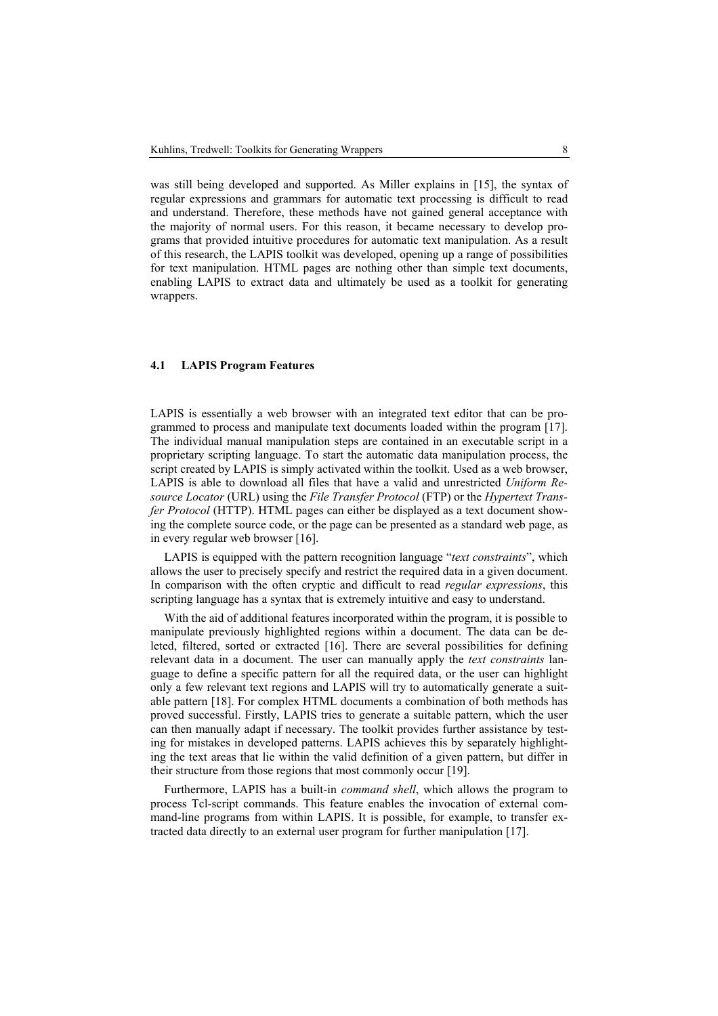was still being developed and supported. As Miller explains in [[15\]](#page-14-14), the syntax of regular expressions and grammars for automatic text processing is difficult to read and understand. Therefore, these methods have not gained general acceptance with the majority of normal users. For this reason, it became necessary to develop programs that provided intuitive procedures for automatic text manipulation. As a result of this research, the LAPIS toolkit was developed, opening up a range of possibilities for text manipulation. HTML pages are nothing other than simple text documents, enabling LAPIS to extract data and ultimately be used as a toolkit for generating wrappers.

#### **4.1 LAPIS Program Features**

LAPIS is essentially a web browser with an integrated text editor that can be programmed to process and manipulate text documents loaded within the program [\[17\]](#page-14-15). The individual manual manipulation steps are contained in an executable script in a proprietary scripting language. To start the automatic data manipulation process, the script created by LAPIS is simply activated within the toolkit. Used as a web browser, LAPIS is able to download all files that have a valid and unrestricted *Uniform Resource Locator* (URL) using the *File Transfer Protocol* (FTP) or the *Hypertext Transfer Protocol* (HTTP). HTML pages can either be displayed as a text document showing the complete source code, or the page can be presented as a standard web page, as in every regular web browser [\[16\]](#page-14-16).

LAPIS is equipped with the pattern recognition language "*text constraints*", which allows the user to precisely specify and restrict the required data in a given document. In comparison with the often cryptic and difficult to read *regular expressions*, this scripting language has a syntax that is extremely intuitive and easy to understand.

With the aid of additional features incorporated within the program, it is possible to manipulate previously highlighted regions within a document. The data can be deleted, filtered, sorted or extracted [\[16\]](#page-14-16). There are several possibilities for defining relevant data in a document. The user can manually apply the *text constraints* language to define a specific pattern for all the required data, or the user can highlight only a few relevant text regions and LAPIS will try to automatically generate a suitable pattern [[18\]](#page-14-17). For complex HTML documents a combination of both methods has proved successful. Firstly, LAPIS tries to generate a suitable pattern, which the user can then manually adapt if necessary. The toolkit provides further assistance by testing for mistakes in developed patterns. LAPIS achieves this by separately highlighting the text areas that lie within the valid definition of a given pattern, but differ in their structure from those regions that most commonly occur [\[19\]](#page-14-18).

Furthermore, LAPIS has a built-in *command shell*, which allows the program to process Tcl-script commands. This feature enables the invocation of external command-line programs from within LAPIS. It is possible, for example, to transfer extracted data directly to an external user program for further manipulation [\[17\]](#page-14-15).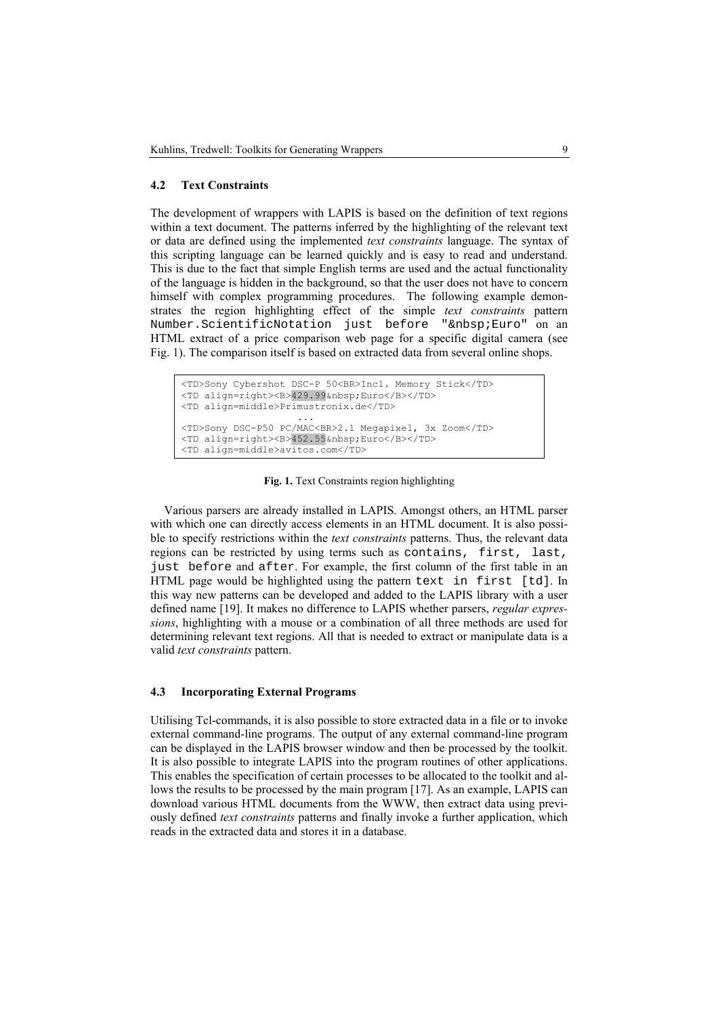#### **4.2 Text Constraints**

The development of wrappers with LAPIS is based on the definition of text regions within a text document. The patterns inferred by the highlighting of the relevant text or data are defined using the implemented *text constraints* language. The syntax of this scripting language can be learned quickly and is easy to read and understand. This is due to the fact that simple English terms are used and the actual functionality of the language is hidden in the background, so that the user does not have to concern himself with complex programming procedures. The following example demonstrates the region highlighting effect of the simple *text constraints* pattern Number.ScientificNotation just before " Euro" on an HTML extract of a price comparison web page for a specific digital camera (see Fig. [1\)](#page-8-0). The comparison itself is based on extracted data from several online shops.

```
<TD>Sony Cybershot DSC-P 50<BR>Incl. Memory Stick</TD> 
<TD align=right><B>429.99&nbsp;Euro</B></TD> 
<TD align=middle>Primustronix.de</TD> 
 ... 
<TD>Sony DSC-P50 PC/MAC<BR>2.1 Megapixel, 3x Zoom</TD> 
<TD align=right><B>452.55&nbsp;Euro</B></TD> 
<TD align=middle>avitos.com</TD>
```
<span id="page-8-0"></span>**Fig. 1.** Text Constraints region highlighting

Various parsers are already installed in LAPIS. Amongst others, an HTML parser with which one can directly access elements in an HTML document. It is also possible to specify restrictions within the *text constraints* patterns. Thus, the relevant data regions can be restricted by using terms such as contains, first, last, just before and after. For example, the first column of the first table in an HTML page would be highlighted using the pattern text in first [td]. In this way new patterns can be developed and added to the LAPIS library with a user defined name [[19\]](#page-14-18). It makes no difference to LAPIS whether parsers, *regular expressions*, highlighting with a mouse or a combination of all three methods are used for determining relevant text regions. All that is needed to extract or manipulate data is a valid *text constraints* pattern.

#### **4.3 Incorporating External Programs**

Utilising Tcl-commands, it is also possible to store extracted data in a file or to invoke external command-line programs. The output of any external command-line program can be displayed in the LAPIS browser window and then be processed by the toolkit. It is also possible to integrate LAPIS into the program routines of other applications. This enables the specification of certain processes to be allocated to the toolkit and allows the results to be processed by the main program [\[17\]](#page-14-15). As an example, LAPIS can download various HTML documents from the WWW, then extract data using previously defined *text constraints* patterns and finally invoke a further application, which reads in the extracted data and stores it in a database.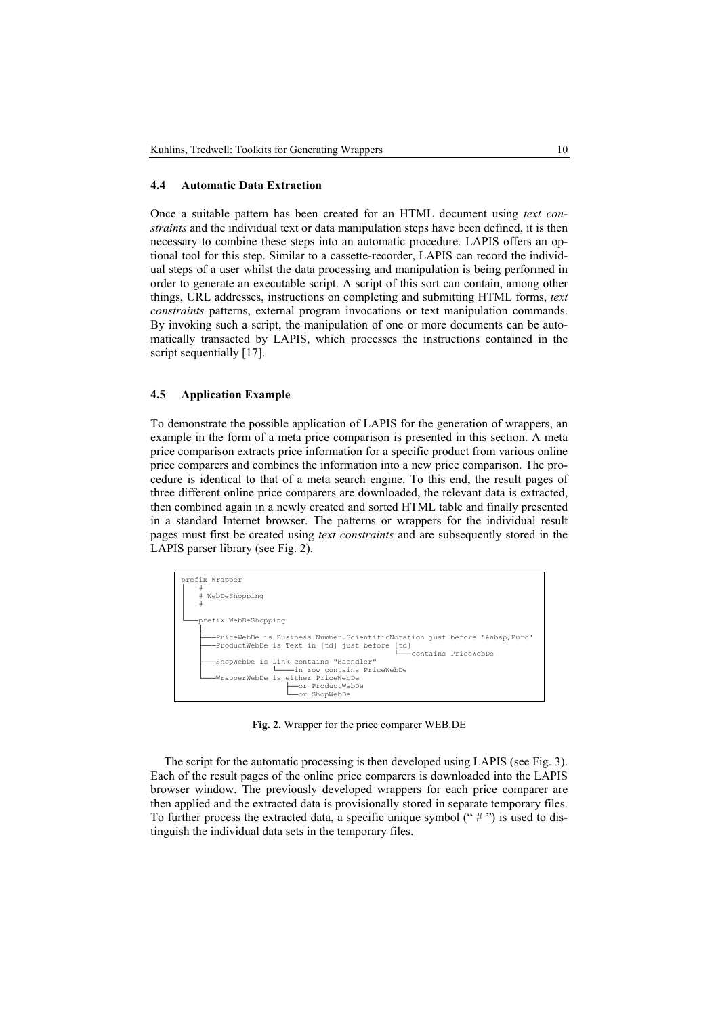#### **4.4 Automatic Data Extraction**

Once a suitable pattern has been created for an HTML document using *text constraints* and the individual text or data manipulation steps have been defined, it is then necessary to combine these steps into an automatic procedure. LAPIS offers an optional tool for this step. Similar to a cassette-recorder, LAPIS can record the individual steps of a user whilst the data processing and manipulation is being performed in order to generate an executable script. A script of this sort can contain, among other things, URL addresses, instructions on completing and submitting HTML forms, *text constraints* patterns, external program invocations or text manipulation commands. By invoking such a script, the manipulation of one or more documents can be automatically transacted by LAPIS, which processes the instructions contained in the script sequentially [[17\]](#page-14-15).

#### **4.5 Application Example**

To demonstrate the possible application of LAPIS for the generation of wrappers, an example in the form of a meta price comparison is presented in this section. A meta price comparison extracts price information for a specific product from various online price comparers and combines the information into a new price comparison. The procedure is identical to that of a meta search engine. To this end, the result pages of three different online price comparers are downloaded, the relevant data is extracted, then combined again in a newly created and sorted HTML table and finally presented in a standard Internet browser. The patterns or wrappers for the individual result pages must first be created using *text constraints* and are subsequently stored in the LAPIS parser library (see Fig. [2\)](#page-9-0).



<span id="page-9-0"></span>**Fig. 2.** Wrapper for the price comparer WEB.DE

The script for the automatic processing is then developed using LAPIS (see Fig. [3\)](#page-10-0). Each of the result pages of the online price comparers is downloaded into the LAPIS browser window. The previously developed wrappers for each price comparer are then applied and the extracted data is provisionally stored in separate temporary files. To further process the extracted data, a specific unique symbol (" # ") is used to distinguish the individual data sets in the temporary files.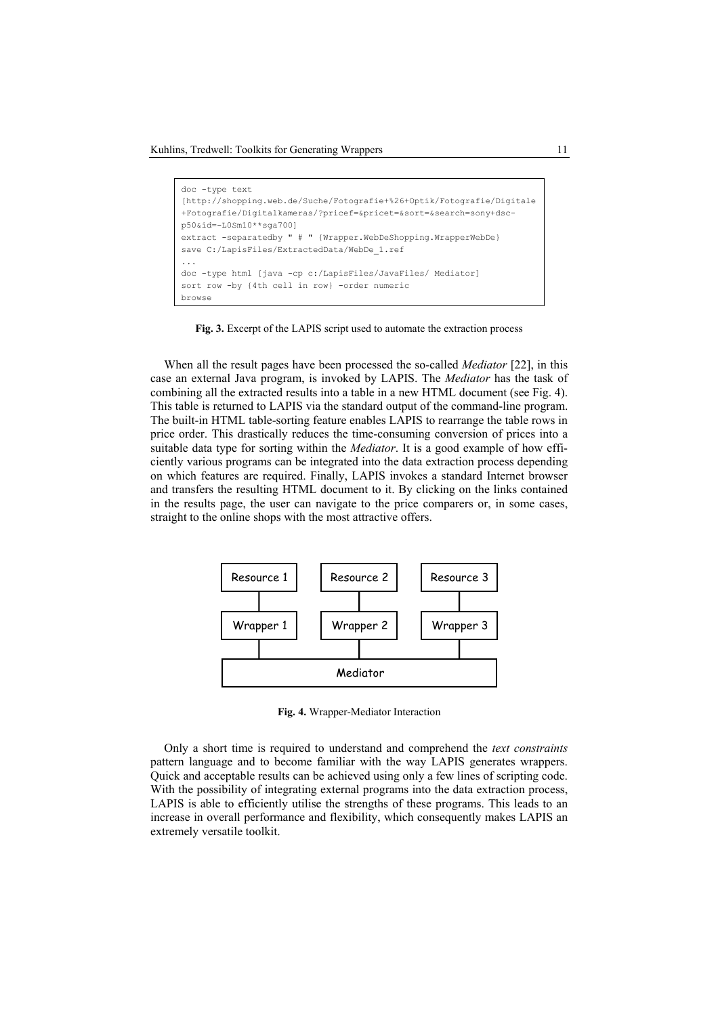```
doc -type text 
[http://shopping.web.de/Suche/Fotografie+%26+Optik/Fotografie/Digitale
+Fotografie/Digitalkameras/?pricef=&pricet=&sort=&search=sony+dsc-
p50&id=-L0Sm10**sga700] 
extract -separatedby " # " {Wrapper.WebDeShopping.WrapperWebDe} 
save C:/LapisFiles/ExtractedData/WebDe_1.ref 
doc -type html [java -cp c:/LapisFiles/JavaFiles/ Mediator] 
sort row -by {4th cell in row} -order numeric 
browse
```
<span id="page-10-0"></span>**Fig. 3.** Excerpt of the LAPIS script used to automate the extraction process

When all the result pages have been processed the so-called *Mediator* [[22\]](#page-14-19), in this case an external Java program, is invoked by LAPIS. The *Mediator* has the task of combining all the extracted results into a table in a new HTML document (see Fig. [4\)](#page-10-1). This table is returned to LAPIS via the standard output of the command-line program. The built-in HTML table-sorting feature enables LAPIS to rearrange the table rows in price order. This drastically reduces the time-consuming conversion of prices into a suitable data type for sorting within the *Mediator*. It is a good example of how efficiently various programs can be integrated into the data extraction process depending on which features are required. Finally, LAPIS invokes a standard Internet browser and transfers the resulting HTML document to it. By clicking on the links contained in the results page, the user can navigate to the price comparers or, in some cases, straight to the online shops with the most attractive offers.



<span id="page-10-1"></span>**Fig. 4.** Wrapper-Mediator Interaction

Only a short time is required to understand and comprehend the *text constraints* pattern language and to become familiar with the way LAPIS generates wrappers. Quick and acceptable results can be achieved using only a few lines of scripting code. With the possibility of integrating external programs into the data extraction process, LAPIS is able to efficiently utilise the strengths of these programs. This leads to an increase in overall performance and flexibility, which consequently makes LAPIS an extremely versatile toolkit.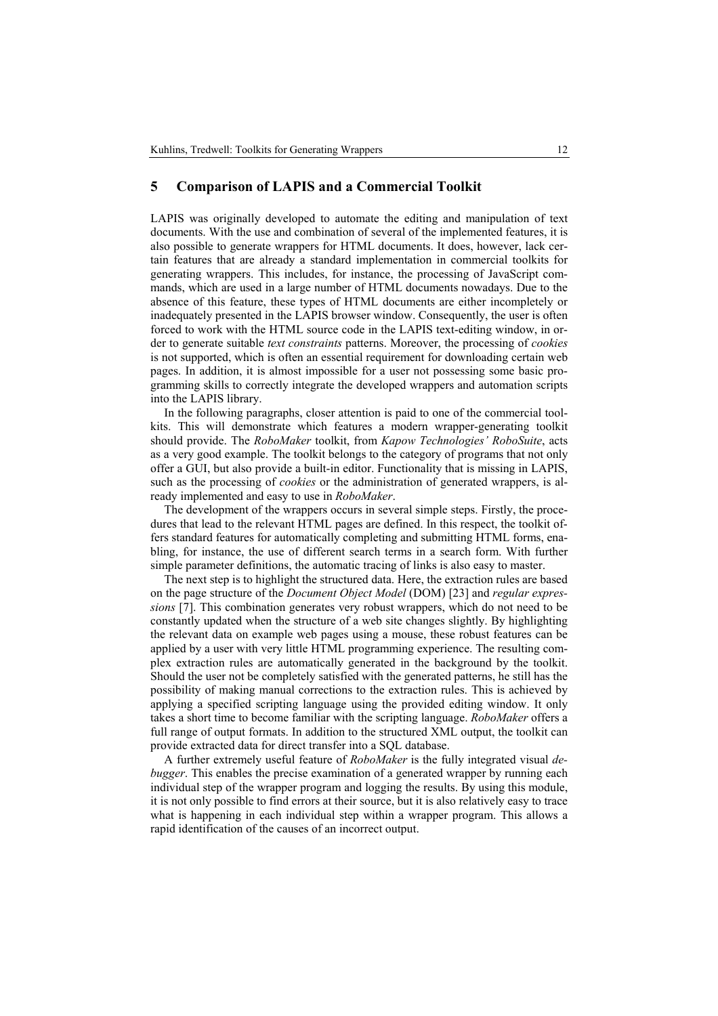### <span id="page-11-0"></span>**5 Comparison of LAPIS and a Commercial Toolkit**

LAPIS was originally developed to automate the editing and manipulation of text documents. With the use and combination of several of the implemented features, it is also possible to generate wrappers for HTML documents. It does, however, lack certain features that are already a standard implementation in commercial toolkits for generating wrappers. This includes, for instance, the processing of JavaScript commands, which are used in a large number of HTML documents nowadays. Due to the absence of this feature, these types of HTML documents are either incompletely or inadequately presented in the LAPIS browser window. Consequently, the user is often forced to work with the HTML source code in the LAPIS text-editing window, in order to generate suitable *text constraints* patterns. Moreover, the processing of *cookies* is not supported, which is often an essential requirement for downloading certain web pages. In addition, it is almost impossible for a user not possessing some basic programming skills to correctly integrate the developed wrappers and automation scripts into the LAPIS library.

In the following paragraphs, closer attention is paid to one of the commercial toolkits. This will demonstrate which features a modern wrapper-generating toolkit should provide. The *RoboMaker* toolkit, from *Kapow Technologies' RoboSuite*, acts as a very good example. The toolkit belongs to the category of programs that not only offer a GUI, but also provide a built-in editor. Functionality that is missing in LAPIS, such as the processing of *cookies* or the administration of generated wrappers, is already implemented and easy to use in *RoboMaker*.

The development of the wrappers occurs in several simple steps. Firstly, the procedures that lead to the relevant HTML pages are defined. In this respect, the toolkit offers standard features for automatically completing and submitting HTML forms, enabling, for instance, the use of different search terms in a search form. With further simple parameter definitions, the automatic tracing of links is also easy to master.

The next step is to highlight the structured data. Here, the extraction rules are based on the page structure of the *Document Object Model* (DOM) [[23\]](#page-14-20) and *regular expressions* [[7\]](#page-14-21). This combination generates very robust wrappers, which do not need to be constantly updated when the structure of a web site changes slightly. By highlighting the relevant data on example web pages using a mouse, these robust features can be applied by a user with very little HTML programming experience. The resulting complex extraction rules are automatically generated in the background by the toolkit. Should the user not be completely satisfied with the generated patterns, he still has the possibility of making manual corrections to the extraction rules. This is achieved by applying a specified scripting language using the provided editing window. It only takes a short time to become familiar with the scripting language. *RoboMaker* offers a full range of output formats. In addition to the structured XML output, the toolkit can provide extracted data for direct transfer into a SQL database.

A further extremely useful feature of *RoboMaker* is the fully integrated visual *debugger*. This enables the precise examination of a generated wrapper by running each individual step of the wrapper program and logging the results. By using this module, it is not only possible to find errors at their source, but it is also relatively easy to trace what is happening in each individual step within a wrapper program. This allows a rapid identification of the causes of an incorrect output.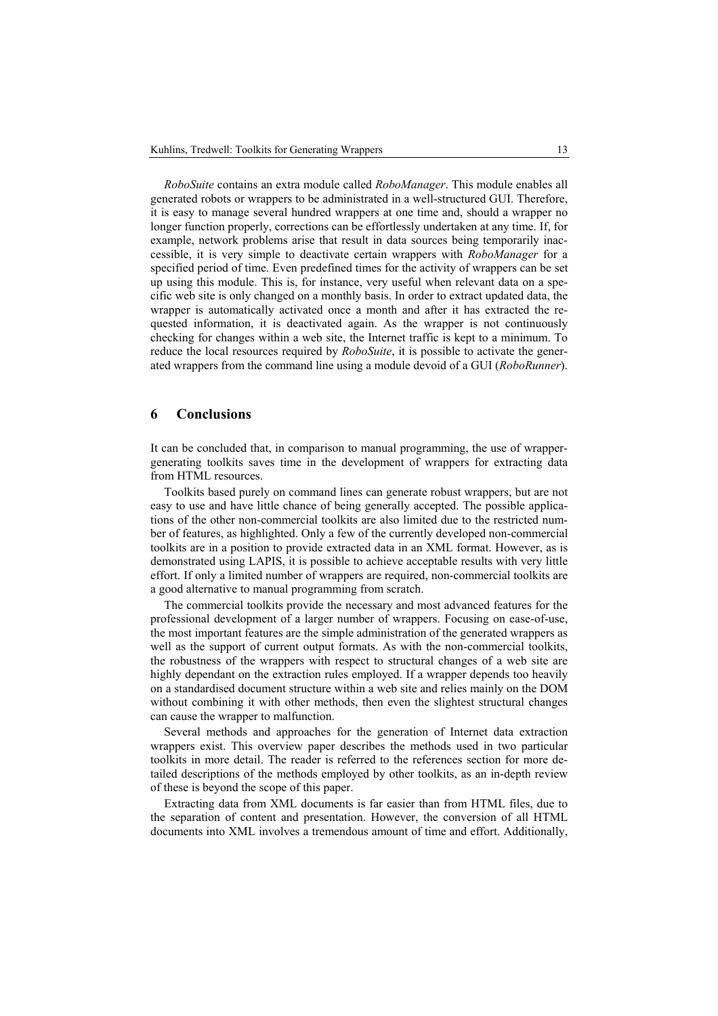*RoboSuite* contains an extra module called *RoboManager*. This module enables all generated robots or wrappers to be administrated in a well-structured GUI. Therefore, it is easy to manage several hundred wrappers at one time and, should a wrapper no longer function properly, corrections can be effortlessly undertaken at any time. If, for example, network problems arise that result in data sources being temporarily inaccessible, it is very simple to deactivate certain wrappers with *RoboManager* for a specified period of time. Even predefined times for the activity of wrappers can be set up using this module. This is, for instance, very useful when relevant data on a specific web site is only changed on a monthly basis. In order to extract updated data, the wrapper is automatically activated once a month and after it has extracted the requested information, it is deactivated again. As the wrapper is not continuously checking for changes within a web site, the Internet traffic is kept to a minimum. To reduce the local resources required by *RoboSuite*, it is possible to activate the generated wrappers from the command line using a module devoid of a GUI (*RoboRunner*).

#### **6 Conclusions**

It can be concluded that, in comparison to manual programming, the use of wrappergenerating toolkits saves time in the development of wrappers for extracting data from HTML resources.

Toolkits based purely on command lines can generate robust wrappers, but are not easy to use and have little chance of being generally accepted. The possible applications of the other non-commercial toolkits are also limited due to the restricted number of features, as highlighted. Only a few of the currently developed non-commercial toolkits are in a position to provide extracted data in an XML format. However, as is demonstrated using LAPIS, it is possible to achieve acceptable results with very little effort. If only a limited number of wrappers are required, non-commercial toolkits are a good alternative to manual programming from scratch.

The commercial toolkits provide the necessary and most advanced features for the professional development of a larger number of wrappers. Focusing on ease-of-use, the most important features are the simple administration of the generated wrappers as well as the support of current output formats. As with the non-commercial toolkits, the robustness of the wrappers with respect to structural changes of a web site are highly dependant on the extraction rules employed. If a wrapper depends too heavily on a standardised document structure within a web site and relies mainly on the DOM without combining it with other methods, then even the slightest structural changes can cause the wrapper to malfunction.

Several methods and approaches for the generation of Internet data extraction wrappers exist. This overview paper describes the methods used in two particular toolkits in more detail. The reader is referred to the references section for more detailed descriptions of the methods employed by other toolkits, as an in-depth review of these is beyond the scope of this paper.

Extracting data from XML documents is far easier than from HTML files, due to the separation of content and presentation. However, the conversion of all HTML documents into XML involves a tremendous amount of time and effort. Additionally,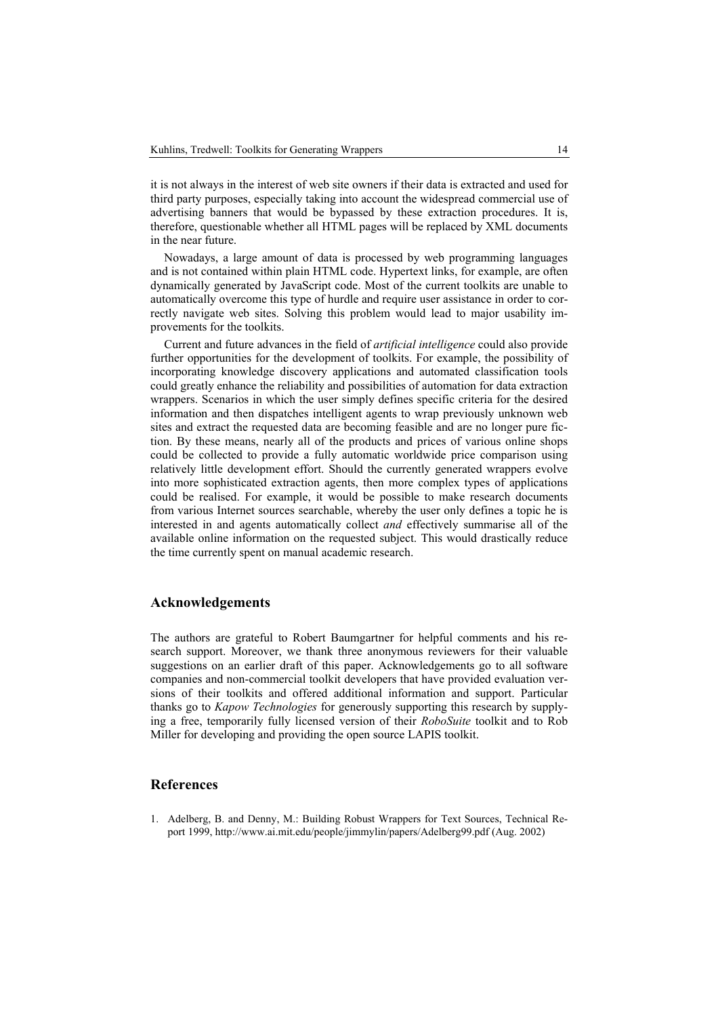it is not always in the interest of web site owners if their data is extracted and used for third party purposes, especially taking into account the widespread commercial use of advertising banners that would be bypassed by these extraction procedures. It is, therefore, questionable whether all HTML pages will be replaced by XML documents in the near future.

Nowadays, a large amount of data is processed by web programming languages and is not contained within plain HTML code. Hypertext links, for example, are often dynamically generated by JavaScript code. Most of the current toolkits are unable to automatically overcome this type of hurdle and require user assistance in order to correctly navigate web sites. Solving this problem would lead to major usability improvements for the toolkits.

Current and future advances in the field of *artificial intelligence* could also provide further opportunities for the development of toolkits. For example, the possibility of incorporating knowledge discovery applications and automated classification tools could greatly enhance the reliability and possibilities of automation for data extraction wrappers. Scenarios in which the user simply defines specific criteria for the desired information and then dispatches intelligent agents to wrap previously unknown web sites and extract the requested data are becoming feasible and are no longer pure fiction. By these means, nearly all of the products and prices of various online shops could be collected to provide a fully automatic worldwide price comparison using relatively little development effort. Should the currently generated wrappers evolve into more sophisticated extraction agents, then more complex types of applications could be realised. For example, it would be possible to make research documents from various Internet sources searchable, whereby the user only defines a topic he is interested in and agents automatically collect *and* effectively summarise all of the available online information on the requested subject. This would drastically reduce the time currently spent on manual academic research.

### **Acknowledgements**

The authors are grateful to Robert Baumgartner for helpful comments and his research support. Moreover, we thank three anonymous reviewers for their valuable suggestions on an earlier draft of this paper. Acknowledgements go to all software companies and non-commercial toolkit developers that have provided evaluation versions of their toolkits and offered additional information and support. Particular thanks go to *Kapow Technologies* for generously supporting this research by supplying a free, temporarily fully licensed version of their *RoboSuite* toolkit and to Rob Miller for developing and providing the open source LAPIS toolkit.

#### **References**

<span id="page-13-0"></span>1. Adelberg, B. and Denny, M.: Building Robust Wrappers for Text Sources, Technical Report 1999,<http://www.ai.mit.edu/people/jimmylin/papers/Adelberg99.pdf> (Aug. 2002)